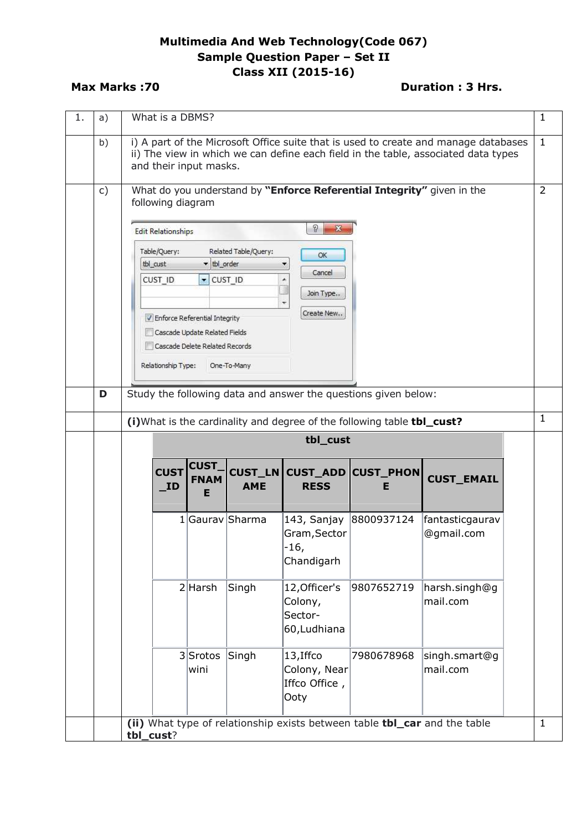## **Multimedia And Web Technology(Code 067) Sample Question Paper – Set II Class XII (2015-16)**

## **Max Marks :70 Duration : 3 Hrs. Duration : 3 Hrs.**

| 1. | a)       |           | What is a DBMS?           |                                                   |                              |                                                     |                                                                           |                                                                                                                                                                           | 1              |
|----|----------|-----------|---------------------------|---------------------------------------------------|------------------------------|-----------------------------------------------------|---------------------------------------------------------------------------|---------------------------------------------------------------------------------------------------------------------------------------------------------------------------|----------------|
|    | b)       |           |                           | and their input masks.                            |                              |                                                     |                                                                           | i) A part of the Microsoft Office suite that is used to create and manage databases<br>ii) The view in which we can define each field in the table, associated data types | $\mathbf{1}$   |
|    | c)       |           | following diagram         |                                                   |                              |                                                     | What do you understand by "Enforce Referential Integrity" given in the    |                                                                                                                                                                           | $\overline{2}$ |
|    |          |           | <b>Edit Relationships</b> |                                                   |                              | ?<br>$\mathbf{x}$                                   |                                                                           |                                                                                                                                                                           |                |
|    |          |           | Table/Query:              |                                                   | Related Table/Query:         | OK                                                  |                                                                           |                                                                                                                                                                           |                |
|    |          |           | tbl_cust<br>CUST ID       | $\blacktriangleright$ tbl_order<br>$\blacksquare$ | CUST_ID                      | Cancel                                              |                                                                           |                                                                                                                                                                           |                |
|    |          |           |                           |                                                   |                              | Join Type                                           |                                                                           |                                                                                                                                                                           |                |
|    |          |           |                           | V Enforce Referential Integrity                   |                              | Create New                                          |                                                                           |                                                                                                                                                                           |                |
|    |          |           |                           | Cascade Update Related Fields                     |                              |                                                     |                                                                           |                                                                                                                                                                           |                |
|    |          |           |                           | Cascade Delete Related Records                    |                              |                                                     |                                                                           |                                                                                                                                                                           |                |
|    |          |           | Relationship Type:        |                                                   | One-To-Many                  |                                                     |                                                                           |                                                                                                                                                                           |                |
|    | D        |           |                           |                                                   |                              |                                                     | Study the following data and answer the questions given below:            |                                                                                                                                                                           |                |
|    |          |           |                           |                                                   |                              |                                                     | (i) What is the cardinality and degree of the following table tbl_cust?   |                                                                                                                                                                           | $\mathbf{1}$   |
|    | tbl_cust |           |                           |                                                   |                              |                                                     |                                                                           |                                                                                                                                                                           |                |
|    |          |           | <b>CUST</b><br>$\_ID$     | <b>CUST</b><br><b>FNAM</b><br>Е                   | <b>CUST_LN</b><br><b>AME</b> | <b>RESS</b>                                         | <b>CUST_ADD CUST_PHON</b><br>Е                                            | <b>CUST_EMAIL</b>                                                                                                                                                         |                |
|    |          |           |                           |                                                   | 1 Gaurav Sharma              | 143, Sanjay<br>Gram, Sector<br>$-16,$<br>Chandigarh | 8800937124                                                                | fantasticgaurav<br>@gmail.com                                                                                                                                             |                |
|    |          |           |                           | $2$ Harsh                                         | Singh                        | 12, Officer's<br>Colony,<br>Sector-<br>60, Ludhiana | 9807652719                                                                | harsh.singh@g<br>mail.com                                                                                                                                                 |                |
|    |          |           |                           | $3$ Srotos<br>wini                                | Singh                        | 13, Iffco<br>Colony, Near<br>Iffco Office,<br>Ooty  | 7980678968                                                                | singh.smart@g <br>mail.com                                                                                                                                                |                |
|    |          | tbl_cust? |                           |                                                   |                              |                                                     | (ii) What type of relationship exists between table tbl_car and the table |                                                                                                                                                                           | $\mathbf{1}$   |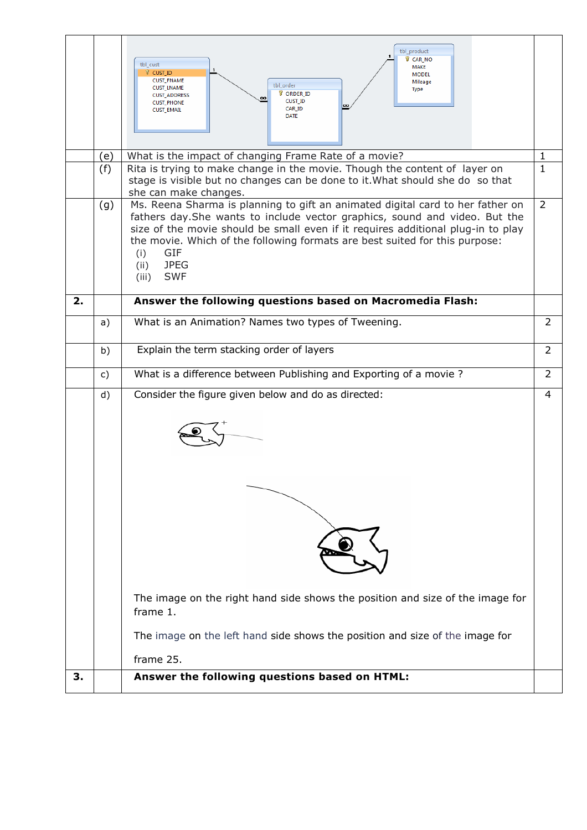|    |     | tbl_product<br><b>B</b> CAR NO<br>tbl cust<br>MAKE<br><b>8</b> CUST ID<br><b>MODEL</b><br><b>CUST_FNAME</b><br>Mileage<br>tbl order<br><b>CUST_LNAME</b><br><b>Type</b><br><b>B</b> ORDER ID<br><b>CUST ADDRESS</b><br>œ<br><b>CUST ID</b><br><b>CUST_PHONE</b><br>oo<br>CAR_ID<br><b>CUST_EMAIL</b><br><b>DATE</b>                                                                                 |                |  |  |  |
|----|-----|-----------------------------------------------------------------------------------------------------------------------------------------------------------------------------------------------------------------------------------------------------------------------------------------------------------------------------------------------------------------------------------------------------|----------------|--|--|--|
|    | (e) | What is the impact of changing Frame Rate of a movie?                                                                                                                                                                                                                                                                                                                                               | 1              |  |  |  |
|    | (f) | Rita is trying to make change in the movie. Though the content of layer on<br>stage is visible but no changes can be done to it. What should she do so that<br>she can make changes.                                                                                                                                                                                                                | $\mathbf{1}$   |  |  |  |
|    | (g) | Ms. Reena Sharma is planning to gift an animated digital card to her father on<br>fathers day. She wants to include vector graphics, sound and video. But the<br>size of the movie should be small even if it requires additional plug-in to play<br>the movie. Which of the following formats are best suited for this purpose:<br><b>GIF</b><br>(i)<br><b>JPEG</b><br>(ii)<br><b>SWF</b><br>(iii) | $\overline{2}$ |  |  |  |
| 2. |     | Answer the following questions based on Macromedia Flash:                                                                                                                                                                                                                                                                                                                                           |                |  |  |  |
|    | a)  | What is an Animation? Names two types of Tweening.                                                                                                                                                                                                                                                                                                                                                  | 2              |  |  |  |
|    | b)  | Explain the term stacking order of layers                                                                                                                                                                                                                                                                                                                                                           |                |  |  |  |
|    | c)  | What is a difference between Publishing and Exporting of a movie ?                                                                                                                                                                                                                                                                                                                                  | $\overline{2}$ |  |  |  |
|    | d)  | Consider the figure given below and do as directed:<br>The image on the right hand side shows the position and size of the image for<br>frame 1.<br>The image on the left hand side shows the position and size of the image for<br>frame 25.                                                                                                                                                       | 4              |  |  |  |
| З. |     | Answer the following questions based on HTML:                                                                                                                                                                                                                                                                                                                                                       |                |  |  |  |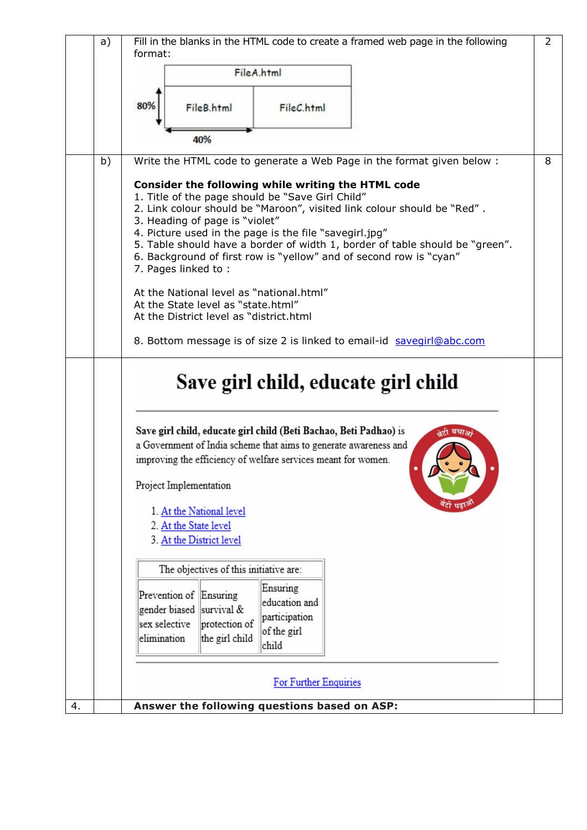|    | a)                                                                                      | Fill in the blanks in the HTML code to create a framed web page in the following<br>format:                                                                                                                                                                                                                                                                                                                                                                |   |  |  |  |  |
|----|-----------------------------------------------------------------------------------------|------------------------------------------------------------------------------------------------------------------------------------------------------------------------------------------------------------------------------------------------------------------------------------------------------------------------------------------------------------------------------------------------------------------------------------------------------------|---|--|--|--|--|
|    |                                                                                         | FileA.html                                                                                                                                                                                                                                                                                                                                                                                                                                                 |   |  |  |  |  |
|    |                                                                                         |                                                                                                                                                                                                                                                                                                                                                                                                                                                            |   |  |  |  |  |
|    |                                                                                         | 80%<br>FileB.html<br>FileC.html                                                                                                                                                                                                                                                                                                                                                                                                                            |   |  |  |  |  |
|    |                                                                                         |                                                                                                                                                                                                                                                                                                                                                                                                                                                            |   |  |  |  |  |
|    |                                                                                         | 40%                                                                                                                                                                                                                                                                                                                                                                                                                                                        |   |  |  |  |  |
|    | b)                                                                                      | Write the HTML code to generate a Web Page in the format given below :                                                                                                                                                                                                                                                                                                                                                                                     | 8 |  |  |  |  |
|    |                                                                                         | Consider the following while writing the HTML code<br>1. Title of the page should be "Save Girl Child"<br>2. Link colour should be "Maroon", visited link colour should be "Red".<br>3. Heading of page is "violet"<br>4. Picture used in the page is the file "savegirl.jpg"<br>5. Table should have a border of width 1, border of table should be "green".<br>6. Background of first row is "yellow" and of second row is "cyan"<br>7. Pages linked to: |   |  |  |  |  |
|    |                                                                                         | At the National level as "national.html"                                                                                                                                                                                                                                                                                                                                                                                                                   |   |  |  |  |  |
|    |                                                                                         | At the State level as "state.html"<br>At the District level as "district.html                                                                                                                                                                                                                                                                                                                                                                              |   |  |  |  |  |
|    |                                                                                         | 8. Bottom message is of size 2 is linked to email-id savegirl@abc.com                                                                                                                                                                                                                                                                                                                                                                                      |   |  |  |  |  |
|    |                                                                                         |                                                                                                                                                                                                                                                                                                                                                                                                                                                            |   |  |  |  |  |
|    |                                                                                         | Save girl child, educate girl child                                                                                                                                                                                                                                                                                                                                                                                                                        |   |  |  |  |  |
|    |                                                                                         | Save girl child, educate girl child (Beti Bachao, Beti Padhao) is<br>बचाऊ                                                                                                                                                                                                                                                                                                                                                                                  |   |  |  |  |  |
|    |                                                                                         | a Government of India scheme that aims to generate awareness and                                                                                                                                                                                                                                                                                                                                                                                           |   |  |  |  |  |
|    | improving the efficiency of welfare services meant for women.<br>Project Implementation |                                                                                                                                                                                                                                                                                                                                                                                                                                                            |   |  |  |  |  |
|    |                                                                                         |                                                                                                                                                                                                                                                                                                                                                                                                                                                            |   |  |  |  |  |
|    |                                                                                         | 1. At the National level<br>2. At the State level<br>3. At the District level                                                                                                                                                                                                                                                                                                                                                                              |   |  |  |  |  |
|    |                                                                                         | The objectives of this initiative are:                                                                                                                                                                                                                                                                                                                                                                                                                     |   |  |  |  |  |
|    |                                                                                         | Ensuring<br>Prevention of Ensuring<br>education and<br>gender biased<br>survival &<br>participation<br>sex selective<br>protection of<br>of the girl<br>the girl child<br>elimination<br>child                                                                                                                                                                                                                                                             |   |  |  |  |  |
|    | For Further Enquiries                                                                   |                                                                                                                                                                                                                                                                                                                                                                                                                                                            |   |  |  |  |  |
| 4. |                                                                                         | Answer the following questions based on ASP:                                                                                                                                                                                                                                                                                                                                                                                                               |   |  |  |  |  |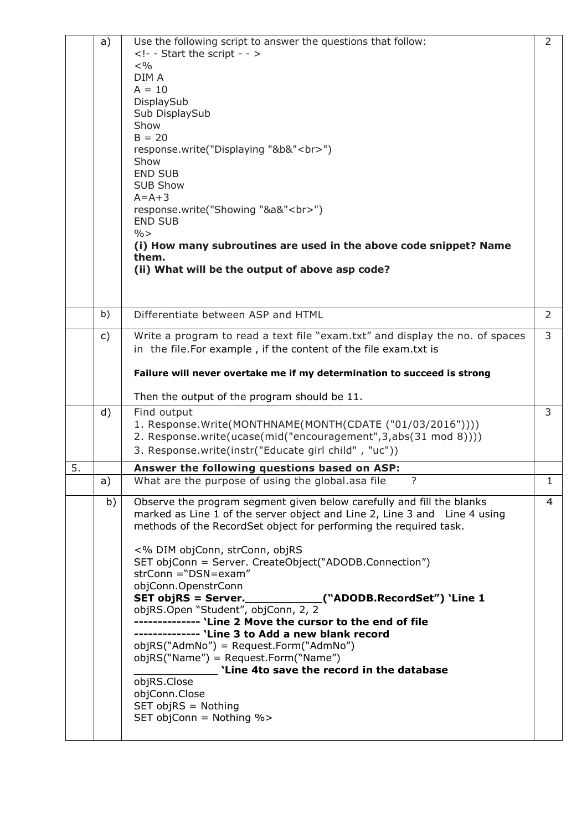|    | a) | Use the following script to answer the questions that follow:<br>- - Start the script - -<br>$< \frac{0}{0}$<br>DIM A<br>$A = 10$<br>DisplaySub<br>Sub DisplaySub<br>Show<br>$B = 20$<br>response.write("Displaying "&b&"<br>")<br>Show<br><b>END SUB</b><br><b>SUB Show</b><br>$A = A + 3$<br>response.write("Showing "&a&"<br>")<br><b>END SUB</b><br>$\% >$<br>(i) How many subroutines are used in the above code snippet? Name<br>them.<br>(ii) What will be the output of above asp code?                                                                                                                                                                                                                                                     | $\overline{2}$ |
|----|----|-----------------------------------------------------------------------------------------------------------------------------------------------------------------------------------------------------------------------------------------------------------------------------------------------------------------------------------------------------------------------------------------------------------------------------------------------------------------------------------------------------------------------------------------------------------------------------------------------------------------------------------------------------------------------------------------------------------------------------------------------------|----------------|
|    | b) | Differentiate between ASP and HTML                                                                                                                                                                                                                                                                                                                                                                                                                                                                                                                                                                                                                                                                                                                  | $\overline{2}$ |
|    | c) | Write a program to read a text file "exam.txt" and display the no. of spaces<br>in the file. For example, if the content of the file exam. txt is                                                                                                                                                                                                                                                                                                                                                                                                                                                                                                                                                                                                   | $\overline{3}$ |
|    |    | Failure will never overtake me if my determination to succeed is strong                                                                                                                                                                                                                                                                                                                                                                                                                                                                                                                                                                                                                                                                             |                |
|    |    | Then the output of the program should be 11.                                                                                                                                                                                                                                                                                                                                                                                                                                                                                                                                                                                                                                                                                                        |                |
|    | d) | Find output<br>1. Response. Write(MONTHNAME(MONTH(CDATE ("01/03/2016"))))<br>2. Response.write(ucase(mid("encouragement", 3, abs(31 mod 8))))<br>3. Response.write(instr("Educate girl child", "uc"))                                                                                                                                                                                                                                                                                                                                                                                                                                                                                                                                               | 3              |
| 5. |    | Answer the following questions based on ASP:                                                                                                                                                                                                                                                                                                                                                                                                                                                                                                                                                                                                                                                                                                        |                |
|    | a) | What are the purpose of using the global.asa file                                                                                                                                                                                                                                                                                                                                                                                                                                                                                                                                                                                                                                                                                                   | ı.             |
|    | b) | Observe the program segment given below carefully and fill the blanks<br>marked as Line 1 of the server object and Line 2, Line 3 and Line 4 using<br>methods of the RecordSet object for performing the required task.<br><% DIM objConn, strConn, objRS<br>SET objConn = Server. CreateObject("ADODB.Connection")<br>$strConn = "DSN=exam"$<br>objConn.OpenstrConn<br>objRS.Open "Student", objConn, 2, 2<br>-------------- 'Line 2 Move the cursor to the end of file<br>-------------- 'Line 3 to Add a new blank record<br>objRS("AdmNo") = Request.Form("AdmNo")<br>objRS("Name") = Request.Form("Name")<br>'Line 4to save the record in the database<br>objRS.Close<br>objConn.Close<br>$SET$ obj $RS =$ Nothing<br>SET objConn = Nothing %> | $\overline{4}$ |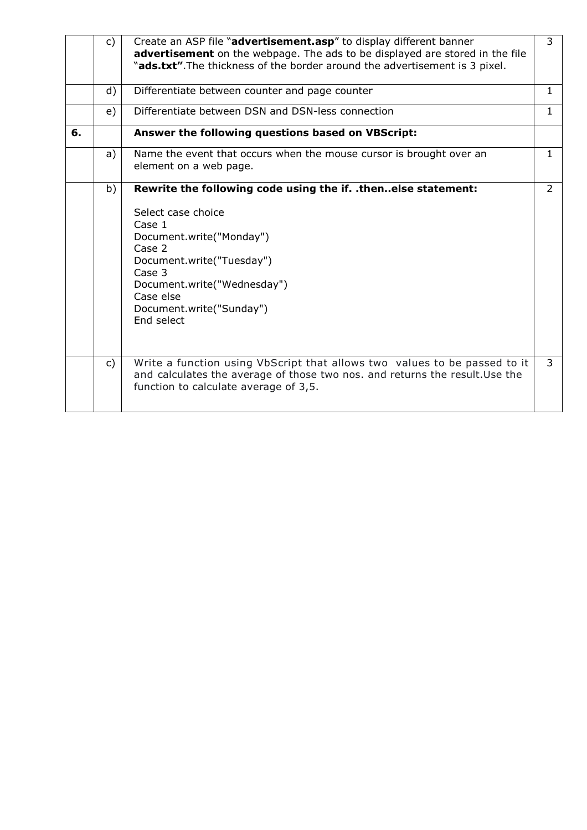|    | C)             | Create an ASP file "advertisement.asp" to display different banner<br>advertisement on the webpage. The ads to be displayed are stored in the file<br>"ads.txt". The thickness of the border around the advertisement is 3 pixel.                                | 3              |
|----|----------------|------------------------------------------------------------------------------------------------------------------------------------------------------------------------------------------------------------------------------------------------------------------|----------------|
|    | d)             | Differentiate between counter and page counter                                                                                                                                                                                                                   | 1              |
|    | e)             | Differentiate between DSN and DSN-less connection                                                                                                                                                                                                                | 1.             |
| 6. |                | Answer the following questions based on VBScript:                                                                                                                                                                                                                |                |
|    | a)             | Name the event that occurs when the mouse cursor is brought over an<br>element on a web page.                                                                                                                                                                    | $\mathbf{1}$   |
|    | b)             | Rewrite the following code using the if. .thenelse statement:<br>Select case choice<br>Case 1<br>Document.write("Monday")<br>Case 2<br>Document.write("Tuesday")<br>Case 3<br>Document.write("Wednesday")<br>Case else<br>Document.write("Sunday")<br>End select | $\overline{2}$ |
|    | $\mathsf{c}$ ) | Write a function using VbScript that allows two values to be passed to it<br>and calculates the average of those two nos. and returns the result. Use the<br>function to calculate average of 3,5.                                                               | $\overline{3}$ |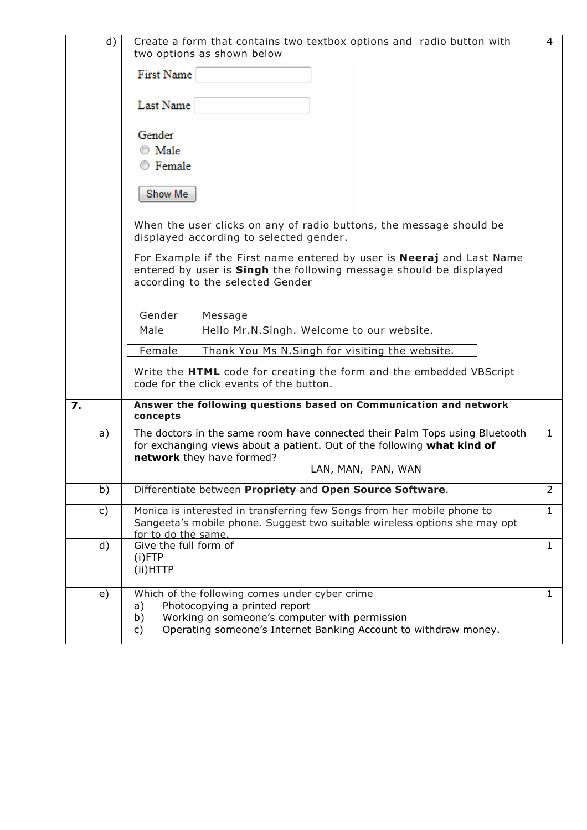|                  | d) | Create a form that contains two textbox options and radio button with<br>two options as shown below                                                                          |                                                                                                                                                                                                           |                |  |
|------------------|----|------------------------------------------------------------------------------------------------------------------------------------------------------------------------------|-----------------------------------------------------------------------------------------------------------------------------------------------------------------------------------------------------------|----------------|--|
|                  |    | First Name                                                                                                                                                                   |                                                                                                                                                                                                           |                |  |
|                  |    | Last Name                                                                                                                                                                    |                                                                                                                                                                                                           |                |  |
|                  |    | Gender<br>$\circ$ Male<br>◎ Female                                                                                                                                           |                                                                                                                                                                                                           |                |  |
|                  |    | Show Me                                                                                                                                                                      |                                                                                                                                                                                                           |                |  |
|                  |    |                                                                                                                                                                              | When the user clicks on any of radio buttons, the message should be<br>displayed according to selected gender.                                                                                            |                |  |
|                  |    |                                                                                                                                                                              | For Example if the First name entered by user is <b>Neeraj</b> and Last Name<br>entered by user is Singh the following message should be displayed<br>according to the selected Gender                    |                |  |
|                  |    | Gender                                                                                                                                                                       | Message                                                                                                                                                                                                   |                |  |
|                  |    | Male                                                                                                                                                                         | Hello Mr.N.Singh. Welcome to our website.                                                                                                                                                                 |                |  |
|                  |    | Female                                                                                                                                                                       | Thank You Ms N.Singh for visiting the website.                                                                                                                                                            |                |  |
|                  |    |                                                                                                                                                                              | Write the HTML code for creating the form and the embedded VBScript<br>code for the click events of the button.                                                                                           |                |  |
| $\overline{z}$ . |    | concepts                                                                                                                                                                     | Answer the following questions based on Communication and network                                                                                                                                         |                |  |
|                  | a) |                                                                                                                                                                              | The doctors in the same room have connected their Palm Tops using Bluetooth<br>for exchanging views about a patient. Out of the following what kind of<br>network they have formed?<br>LAN, MAN, PAN, WAN | $\mathbf{1}$   |  |
|                  | b) |                                                                                                                                                                              | Differentiate between Propriety and Open Source Software.                                                                                                                                                 | $\overline{2}$ |  |
|                  | c) | Monica is interested in transferring few Songs from her mobile phone to<br>Sangeeta's mobile phone. Suggest two suitable wireless options she may opt<br>for to do the same. |                                                                                                                                                                                                           |                |  |
|                  | d) | Give the full form of<br>$(i)$ FTP<br>(ii)HTTP                                                                                                                               |                                                                                                                                                                                                           |                |  |
|                  | e) | a)<br>b)<br>c)                                                                                                                                                               | Which of the following comes under cyber crime<br>Photocopying a printed report<br>Working on someone's computer with permission<br>Operating someone's Internet Banking Account to withdraw money.       | $\mathbf{1}$   |  |